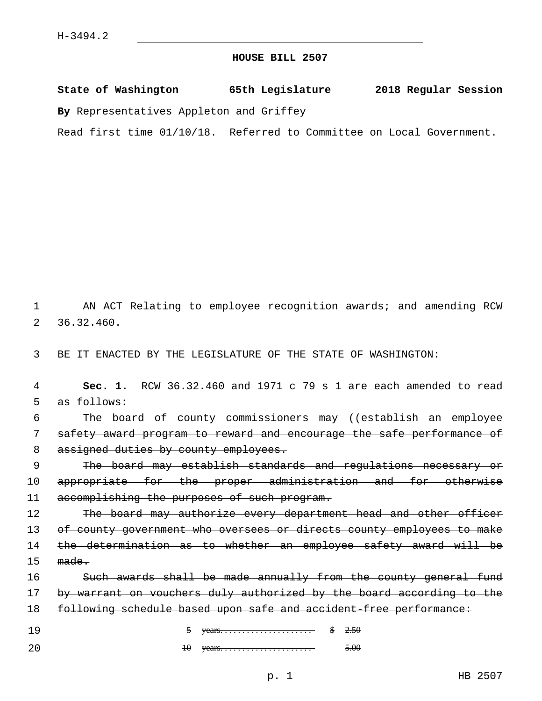## **HOUSE BILL 2507**

**State of Washington 65th Legislature 2018 Regular Session By** Representatives Appleton and Griffey

Read first time 01/10/18. Referred to Committee on Local Government.

1 AN ACT Relating to employee recognition awards; and amending RCW 36.32.460.2

3 BE IT ENACTED BY THE LEGISLATURE OF THE STATE OF WASHINGTON:

4 **Sec. 1.** RCW 36.32.460 and 1971 c 79 s 1 are each amended to read 5 as follows:

6 The board of county commissioners may ((establish an employee 7 safety award program to reward and encourage the safe performance of 8 assigned duties by county employees.

9 The board may establish standards and regulations necessary or 10 appropriate for the proper administration and for otherwise 11 accomplishing the purposes of such program.

12 The board may authorize every department head and other officer 13 of county government who oversees or directs county employees to make 14 the determination as to whether an employee safety award will be 15 made.

16 Such awards shall be made annually from the county general fund 17 by warrant on vouchers duly authorized by the board according to the 18 following schedule based upon safe and accident-free performance:

| $\sim$ |  |  |
|--------|--|--|
|        |  |  |

20 10 years. . . . . . . . . . . . . . . . . . . . . 5.00